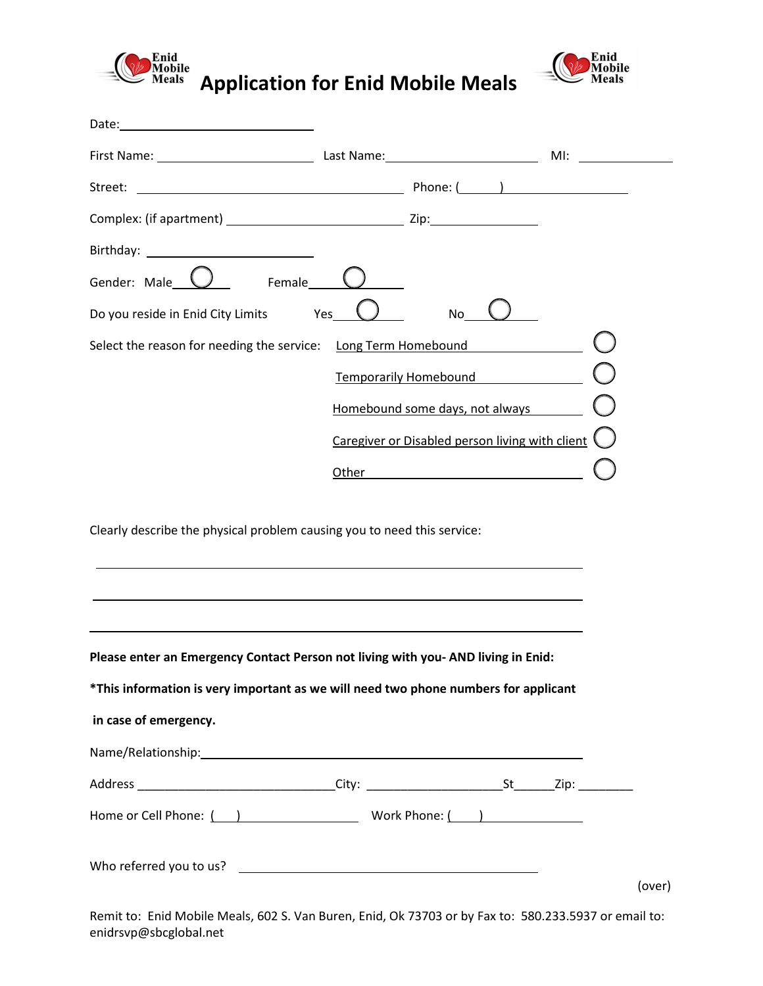

Date:

**Application for Enid Mobile Meals** 



|                                                                         |     |                                                 | M! |
|-------------------------------------------------------------------------|-----|-------------------------------------------------|----|
|                                                                         |     |                                                 |    |
|                                                                         |     |                                                 |    |
|                                                                         |     |                                                 |    |
| Gender: Male $\bigcup$<br>Female                                        |     |                                                 |    |
| Do you reside in Enid City Limits                                       | Yes | No                                              |    |
| Select the reason for needing the service: Long Term Homebound          |     |                                                 |    |
|                                                                         |     | <b>Temporarily Homebound</b>                    |    |
|                                                                         |     | Homebound some days, not always                 |    |
|                                                                         |     | Caregiver or Disabled person living with client |    |
|                                                                         |     | Other <u>examples</u>                           |    |
|                                                                         |     |                                                 |    |
| Clearly describe the physical problem causing you to need this service: |     |                                                 |    |
|                                                                         |     |                                                 |    |
|                                                                         |     |                                                 |    |

**Please enter an Emergency Contact Person not living with you- AND living in Enid:** 

**\*This information is very important as we will need two phone numbers for applicant**

| in case of emergency.   |                 |        |
|-------------------------|-----------------|--------|
|                         |                 |        |
|                         |                 |        |
| Home or Cell Phone: ( ) | Work Phone: ( ) |        |
|                         |                 |        |
|                         |                 | (over) |

Remit to: Enid Mobile Meals, 602 S. Van Buren, Enid, Ok 73703 or by Fax to: 580.233.5937 or email to: enidrsvp@sbcglobal.net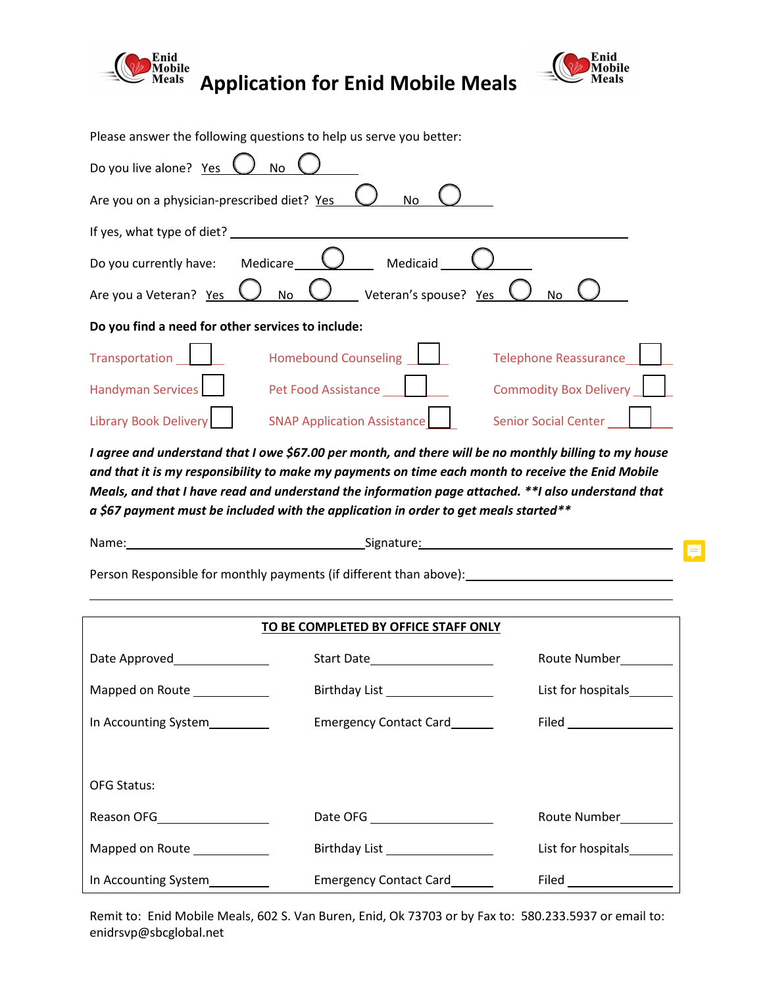

**Application for Enid Mobile Meals** 



|                                                   | Please answer the following questions to help us serve you better:                                                   |                               |
|---------------------------------------------------|----------------------------------------------------------------------------------------------------------------------|-------------------------------|
| Do you live alone? Yes                            | No                                                                                                                   |                               |
| Are you on a physician-prescribed diet? Yes       | No                                                                                                                   |                               |
| If yes, what type of diet?                        |                                                                                                                      |                               |
| Medicare<br>Do you currently have:                | Medicaid                                                                                                             |                               |
| Are you a Veteran? Yes                            | Veteran's spouse? Yes<br>No                                                                                          | No                            |
| Do you find a need for other services to include: |                                                                                                                      |                               |
| Transportation                                    | <b>Homebound Counseling</b>                                                                                          | <b>Telephone Reassurance</b>  |
| <b>Handyman Services</b>                          | Pet Food Assistance                                                                                                  | <b>Commodity Box Delivery</b> |
| Library Book Delivery                             | <b>SNAP Application Assistance</b>                                                                                   | <b>Senior Social Center</b>   |
|                                                   | مبيمط ببعد مد موزالزما براطنومومو مورمط الزبير معمطه امومر طنوموسومو وصره 60 كمبيره النوطه اموجهوه اموس امويو ممعومه |                               |

*I agree and understand that I owe \$67.00 per month, and there will be no monthly billing to my house and that it is my responsibility to make my payments on time each month to receive the Enid Mobile Meals, and that I have read and understand the information page attached. \*\*I also understand that a \$67 payment must be included with the application in order to get meals started\*\**

| Name: | Signature: |   |
|-------|------------|---|
|       |            | ≔ |

Person Responsible for monthly payments (if different than above): \_\_\_\_\_\_\_\_\_\_\_\_\_

| TO BE COMPLETED BY OFFICE STAFF ONLY |                                                         |              |  |  |
|--------------------------------------|---------------------------------------------------------|--------------|--|--|
|                                      | Start Date_____________________                         | Route Number |  |  |
| Mapped on Route _____________        | Birthday List __________________                        |              |  |  |
| In Accounting System_________        | <b>Emergency Contact Card</b>                           |              |  |  |
|                                      |                                                         |              |  |  |
| <b>OFG Status:</b>                   |                                                         |              |  |  |
| Reason OFG____________________       | Date OFG _____________________                          | Route Number |  |  |
| Mapped on Route _____________        | Birthday List <u>List</u>                               |              |  |  |
| In Accounting System 1997            | Emergency Contact Card<br><u>Emergency</u> Contact Card |              |  |  |

Remit to: Enid Mobile Meals, 602 S. Van Buren, Enid, Ok 73703 or by Fax to: 580.233.5937 or email to: enidrsvp@sbcglobal.net